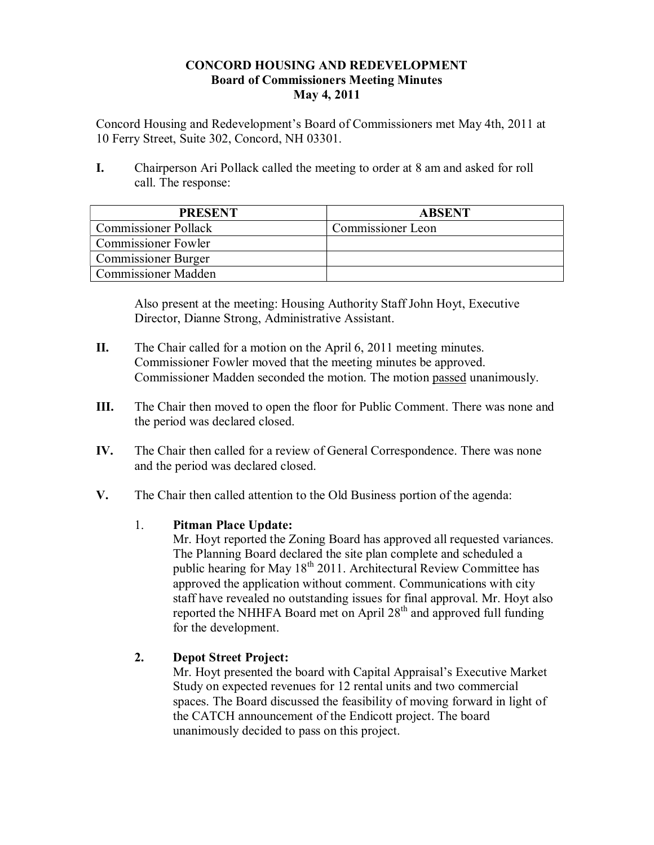## **CONCORD HOUSING AND REDEVELOPMENT Board of Commissioners Meeting Minutes May 4, 2011**

Concord Housing and Redevelopment's Board of Commissioners met May 4th, 2011 at 10 Ferry Street, Suite 302, Concord, NH 03301.

**I.** Chairperson Ari Pollack called the meeting to order at 8 am and asked for roll call. The response:

| <b>PRESENT</b>              | <b>ABSENT</b>     |
|-----------------------------|-------------------|
| <b>Commissioner Pollack</b> | Commissioner Leon |
| <b>Commissioner Fowler</b>  |                   |
| <b>Commissioner Burger</b>  |                   |
| <b>Commissioner Madden</b>  |                   |

Also present at the meeting: Housing Authority Staff John Hoyt, Executive Director, Dianne Strong, Administrative Assistant.

- **II.** The Chair called for a motion on the April 6, 2011 meeting minutes. Commissioner Fowler moved that the meeting minutes be approved. Commissioner Madden seconded the motion. The motion passed unanimously.
- **III.** The Chair then moved to open the floor for Public Comment. There was none and the period was declared closed.
- **IV.** The Chair then called for a review of General Correspondence. There was none and the period was declared closed.
- **V.** The Chair then called attention to the Old Business portion of the agenda:

# 1. **Pitman Place Update:**

Mr. Hoyt reported the Zoning Board has approved all requested variances. The Planning Board declared the site plan complete and scheduled a public hearing for May 18<sup>th</sup> 2011. Architectural Review Committee has approved the application without comment. Communications with city staff have revealed no outstanding issues for final approval. Mr. Hoyt also reported the NHHFA Board met on April  $28<sup>th</sup>$  and approved full funding for the development.

# **2. Depot Street Project:**

Mr. Hoyt presented the board with Capital Appraisal's Executive Market Study on expected revenues for 12 rental units and two commercial spaces. The Board discussed the feasibility of moving forward in light of the CATCH announcement of the Endicott project. The board unanimously decided to pass on this project.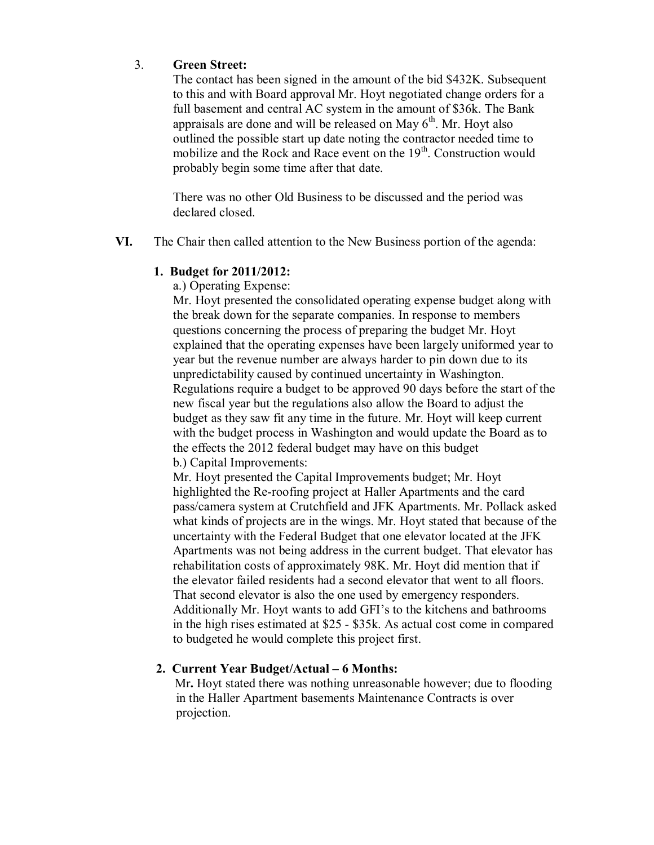## 3. **Green Street:**

The contact has been signed in the amount of the bid \$432K. Subsequent to this and with Board approval Mr. Hoyt negotiated change orders for a full basement and central AC system in the amount of \$36k. The Bank appraisals are done and will be released on May  $6<sup>th</sup>$ . Mr. Hoyt also outlined the possible start up date noting the contractor needed time to mobilize and the Rock and Race event on the 19<sup>th</sup>. Construction would probably begin some time after that date.

There was no other Old Business to be discussed and the period was declared closed.

**VI.** The Chair then called attention to the New Business portion of the agenda:

#### **1. Budget for 2011/2012:**

a.) Operating Expense:

Mr. Hoyt presented the consolidated operating expense budget along with the break down for the separate companies. In response to members questions concerning the process of preparing the budget Mr. Hoyt explained that the operating expenses have been largely uniformed year to year but the revenue number are always harder to pin down due to its unpredictability caused by continued uncertainty in Washington. Regulations require a budget to be approved 90 days before the start of the new fiscal year but the regulations also allow the Board to adjust the budget as they saw fit any time in the future. Mr. Hoyt will keep current with the budget process in Washington and would update the Board as to the effects the 2012 federal budget may have on this budget b.) Capital Improvements:

Mr. Hoyt presented the Capital Improvements budget; Mr. Hoyt highlighted the Re-roofing project at Haller Apartments and the card pass/camera system at Crutchfield and JFK Apartments. Mr. Pollack asked what kinds of projects are in the wings. Mr. Hoyt stated that because of the uncertainty with the Federal Budget that one elevator located at the JFK Apartments was not being address in the current budget. That elevator has rehabilitation costs of approximately 98K. Mr. Hoyt did mention that if the elevator failed residents had a second elevator that went to all floors. That second elevator is also the one used by emergency responders. Additionally Mr. Hoyt wants to add GFI's to the kitchens and bathrooms in the high rises estimated at \$25 - \$35k. As actual cost come in compared to budgeted he would complete this project first.

#### **2. Current Year Budget/Actual – 6 Months:**

 Mr**.** Hoyt stated there was nothing unreasonable however; due to flooding in the Haller Apartment basements Maintenance Contracts is over projection.